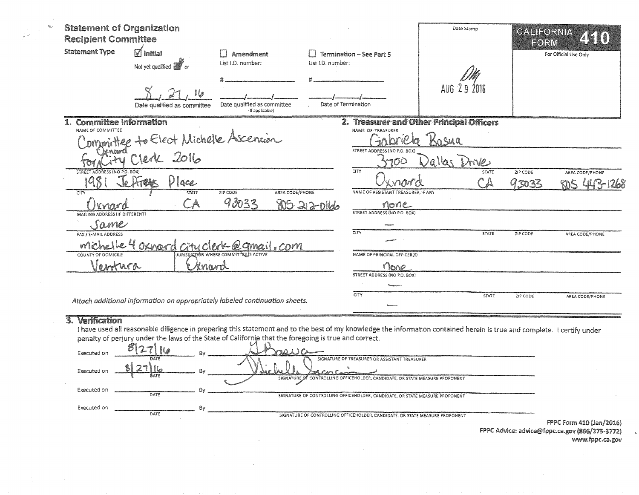| <b>Statement of Organization</b><br><b>Recipient Committee</b> |                                                                             |                                                |                   |                                                            | Date Stamp                                | CALIFORNIA<br>FORM | 250                                    |
|----------------------------------------------------------------|-----------------------------------------------------------------------------|------------------------------------------------|-------------------|------------------------------------------------------------|-------------------------------------------|--------------------|----------------------------------------|
| <b>Statement Type</b>                                          | $\boxtimes$ Initial<br>Not yet qualified <b>W</b> or                        | Amendment<br>List I.D. number:                 | List I.D. number: | Termination - See Part 5                                   |                                           |                    | For Official Use Only                  |
|                                                                | Иo<br>Date qualified as committee                                           | Date qualified as committee<br>(If applicable) |                   | Date of Termination                                        | AUG 29 2016                               |                    |                                        |
| <b>Committee Information</b><br>NAME OF COMMITTEE              |                                                                             |                                                |                   |                                                            | 2. Treasurer and Other Principal Officers |                    |                                        |
|                                                                | Committee to Elect Michelle Ascencion                                       |                                                |                   | NAME OF TREASURER<br>STREET ADDRESS (NO P.O. BOX)          | Sasua                                     |                    |                                        |
|                                                                |                                                                             |                                                |                   | 700                                                        | allas /<br>Drives                         |                    |                                        |
| STREET ADDRESS (NO P.O. BOX)                                   | Place                                                                       | ZIP CODE<br>AREA CODE/PHONE                    |                   | <b>CITY</b><br>nard<br>NAME OF ASSISTANT TREASURER, IF ANY | STATE                                     | ZIP CODE<br>93033  | AREA CODE/PHONE<br><b>ROS 443-1268</b> |
| <b>CITY</b><br>Knard<br>MAILING ADDRESS (IF DIFFERENT)         | <b>STATE</b><br>ิ A                                                         | 93033                                          | 805 212-0166      | none<br>STREET ADDRESS (NO P.O. BOX)                       |                                           |                    |                                        |
| Same                                                           |                                                                             |                                                |                   |                                                            |                                           |                    |                                        |
| FAX / E-MAIL ADDRESS                                           | <u>Michelle 4 Oxnord Gity clerk @gmail.com</u>                              |                                                |                   | CITY                                                       | STATE                                     | ZIP CODE           | AREA CODE/PHONE                        |
| COUNTY OF DOMICILE<br>Jentura                                  | knavd                                                                       |                                                |                   | NAME OF PRINCIPAL OFFICER(S)<br>none                       |                                           |                    |                                        |
|                                                                |                                                                             |                                                |                   | STREET ADDRESS (NO P.O. BOX)<br><b>CITY</b>                | STATE                                     |                    |                                        |
|                                                                | Attach additional information on appropriately labeled continuation sheets. |                                                |                   |                                                            |                                           | ZIP CODE           | AREA CODE/PHONE                        |

## 3. Verification

 $\eta_{\rm K}$ 

I have used all reasonable diligence in preparing this statement and to the best of my knowledge the information contained herein is true and complete. I certify under of perjury under the laws of the State of California that the foregoing is true and correct.

| Executed on | $8\overline{2}$                          | Bv | x                                                                                                                                                            |                       |
|-------------|------------------------------------------|----|--------------------------------------------------------------------------------------------------------------------------------------------------------------|-----------------------|
| Executed on | DATE<br>$\gamma$<br>i los<br><b>BATE</b> |    | SIGNATURE OF TREASURER OR ASSISTANT TREASURER                                                                                                                |                       |
| Executed on | DATE                                     |    | SIGNATURE OF CONTROLLING OFFICEHOLDER, CANDIDATE, OR STATE MEASURE PROPONENT<br>SIGNATURE OF CONTROLLING OFFICEHOLDER, CANDIDATE, OR STATE MEASURE PROPONENT |                       |
| Executed on | DATE                                     | Bv | SIGNATURE OF CONTROLLING OFFICEHOLDER, CANDIDATE, OR STATE MEASURE PROPONENT                                                                                 |                       |
|             |                                          |    |                                                                                                                                                              | FPPC Form 410 (Jan/20 |

116) FPPC Advice: advice@fppc.ca.gov (866/275-3772) www.fppc.ca.gov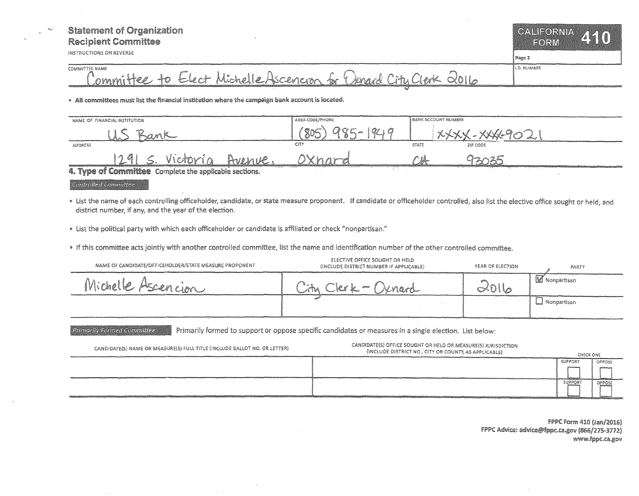## **Statement of Organization Recipient Committee**

INSTRUCTIONS ON REVERSE

LD. NUMBER

COMMITTEE NAME Committee to Elect Michelle Ascencion for Dunard City Clerk 2016

<sup>0</sup>Ali committees must list the financial institution where the campaign bank account is located.

| NAME OF FINANCIAL INSTITUTION                                                                                   | AREA CODE/PHONE                                    | <b>BANK ACCOUNT NUMBER</b> |          |
|-----------------------------------------------------------------------------------------------------------------|----------------------------------------------------|----------------------------|----------|
|                                                                                                                 | $\circ \sim$                                       |                            |          |
| ADDRESS                                                                                                         | CITY                                               | <b>STATE</b>               | ZIP CODE |
| 1291                                                                                                            |                                                    |                            |          |
| $\overline{A}$ Time of Committee Construction in the set of $\overline{A}$<br>1112194<br>control of the same of | <b>CONTRACTOR</b><br>the company of the company of |                            |          |

4. Type of Committee Complete the applicable sections.

Controlled Committee

Primarily Formed Committee

- List the name of each controlling officeholder, candidate, or state measure proponent. If candidate or officeholder controlled, also list the elective office sought or held, and district number, if any, and the year of the election.
- List the political party with which each officeholder or candidate is affiliated or check "nonpartisan."

• If this committee acts jointly with another controlled committee, list the name and identification number of the other controlled committee.

| NAME OF CANDIDATE/OFFICEHOLDER/STATE MEASURE PROPONENT | ELECTIVE OFFICE SOUGHT OR HELD<br>(INCLUDE DISTRICT NUMBER IF APPLICABLE) | YEAR OF ELECTION | PARTY                 |
|--------------------------------------------------------|---------------------------------------------------------------------------|------------------|-----------------------|
| Michelle Ascencion                                     | Knard<br>$\mathcal{G}^{\text{unreg}}$<br>$\mathbb{Z}^n$ .                 |                  | <b>IM</b> Nonpartisan |
|                                                        |                                                                           |                  | ⊥ Nonpartisan         |
|                                                        |                                                                           |                  |                       |

Primarily formed to support or oppose specific candidates or measures in a single election. List below:

CANDIDATE{S) NAME OR MEASiJRE(S) FULL TITLE {INCLUDE BALLOT NO. *OR* LETTER) CANDIDATE(S) OFFICE SOUGHT OR HELD OR MEASURE\S) JURISDICTION (INCLUDE DISTRICT NO., CITY OR CHECK ONE SUPPORT OPPOSE **SUPPORT** OPPOSE

> FPPC Form 410 (Jan/2016) FPPC Advice: advice@fppc.ca.gov (866/275-3772) www.fppc.ca.gov